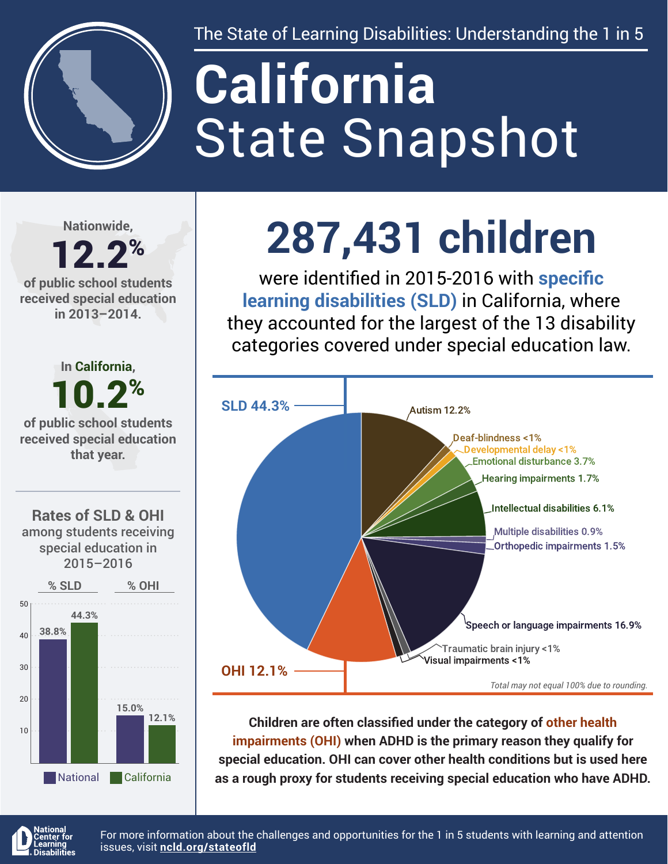

The State of Learning Disabilities: Understanding the 1 in 5

# State Snapshot **California**

**Nationwide,**

#### 12.2% **of public school students received special education in 2013–2014.**

**In California,** 10.2% **of public school students received special education that year.**





## **287,431 children**

were identified in 2015-2016 with **specific learning disabilities (SLD)** in California, where they accounted for the largest of the 13 disability categories covered under special education law.



**Children are often classified under the category of other health impairments (OHI) when ADHD is the primary reason they qualify for special education. OHI can cover other health conditions but is used here as a rough proxy for students receiving special education who have ADHD.**



For more information about the challenges and opportunities for the 1 in 5 students with learning and attention issues, visit **[ncld.org/stateofld](http://ncld.org/stateofld)**